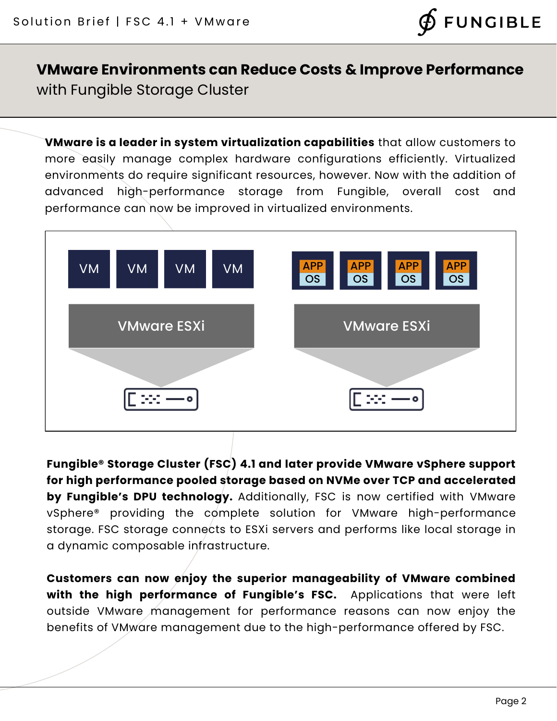

## **VMware Environments can Reduce Costs & Improve Performance** with Fungible Storage Cluster

**VMware is a leader in system virtualization capabilities** that allow customers to more easily manage complex hardware configurations efficiently. Virtualized environments do require significant resources, however. Now with the addition of advanced high-performance storage from Fungible, overall cost and performance can now be improved in virtualized environments.



**Fungible® Storage Cluster (FSC) 4.1 and later provide VMware vSphere support for high performance pooled storage based on NVMe over TCP and accelerated by Fungible's DPU technology.** Additionally, FSC is now certified with VMware vSphere® providing the complete solution for VMware high-performance storage. FSC storage connects to ESXi servers and performs like local storage in a dynamic composable infrastructure.

**Customers can now enjoy the superior manageability of VMware combined with the high performance of Fungible's FSC.** Applications that were left outside VMware management for performance reasons can now enjoy the benefits of VMware management due to the high-performance offered by FSC.